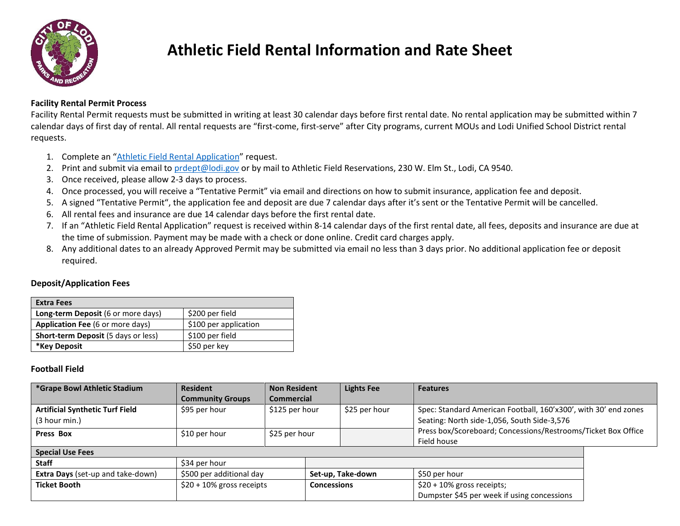

# **Athletic Field Rental Information and Rate Sheet**

### **Facility Rental Permit Process**

Facility Rental Permit requests must be submitted in writing at least 30 calendar days before first rental date. No rental application may be submitted within 7 calendar days of first day of rental. All rental requests are "first-come, first-serve" after City programs, current MOUs and Lodi Unified School District rental requests.

- 1. Complete an "Athletic Field [Rental Application](https://www.lodi.gov/DocumentCenter/View/4172/COVID-Rental-APPLICATION-FOR-USE)" request.
- 2. Print and submit via email to [prdept@lodi.gov](mailto:prdept@lodi.gov) or by mail to Athletic Field Reservations, 230 W. Elm St., Lodi, CA 9540.
- 3. Once received, please allow 2-3 days to process.
- 4. Once processed, you will receive a "Tentative Permit" via email and directions on how to submit insurance, application fee and deposit.
- 5. A signed "Tentative Permit", the application fee and deposit are due 7 calendar days after it's sent or the Tentative Permit will be cancelled.
- 6. All rental fees and insurance are due 14 calendar days before the first rental date.
- 7. If an "Athletic Field Rental Application" request is received within 8-14 calendar days of the first rental date, all fees, deposits and insurance are due at the time of submission. Payment may be made with a check or done online. Credit card charges apply.
- 8. Any additional dates to an already Approved Permit may be submitted via email no less than 3 days prior. No additional application fee or deposit required.

### **Deposit/Application Fees**

| <b>Extra Fees</b>                          |                       |
|--------------------------------------------|-----------------------|
| Long-term Deposit (6 or more days)         | \$200 per field       |
| <b>Application Fee (6 or more days)</b>    | \$100 per application |
| <b>Short-term Deposit (5 days or less)</b> | \$100 per field       |
| *Key Deposit                               | \$50 per key          |

### **Football Field**

| *Grape Bowl Athletic Stadium             | <b>Resident</b><br><b>Community Groups</b> | <b>Non Resident</b> |                    | <b>Lights Fee</b> | <b>Features</b>                                                                                                             |  |  |  |
|------------------------------------------|--------------------------------------------|---------------------|--------------------|-------------------|-----------------------------------------------------------------------------------------------------------------------------|--|--|--|
|                                          |                                            | <b>Commercial</b>   |                    |                   |                                                                                                                             |  |  |  |
| <b>Artificial Synthetic Turf Field</b>   | \$95 per hour                              | \$125 per hour      |                    | \$25 per hour     | Spec: Standard American Football, 160'x300', with 30' end zones                                                             |  |  |  |
| (3 hour min.)                            |                                            |                     |                    |                   | Seating: North side-1,056, South Side-3,576<br>Press box/Scoreboard; Concessions/Restrooms/Ticket Box Office<br>Field house |  |  |  |
| <b>Press Box</b>                         | \$10 per hour                              | \$25 per hour       |                    |                   |                                                                                                                             |  |  |  |
|                                          |                                            |                     |                    |                   |                                                                                                                             |  |  |  |
| <b>Special Use Fees</b>                  |                                            |                     |                    |                   |                                                                                                                             |  |  |  |
| Staff                                    | \$34 per hour                              |                     |                    |                   |                                                                                                                             |  |  |  |
| <b>Extra Days</b> (set-up and take-down) | \$500 per additional day                   |                     | Set-up, Take-down  |                   | \$50 per hour                                                                                                               |  |  |  |
| <b>Ticket Booth</b>                      | $$20 + 10\%$ gross receipts                |                     | <b>Concessions</b> |                   | $$20 + 10\%$ gross receipts;                                                                                                |  |  |  |
|                                          |                                            |                     |                    |                   | Dumpster \$45 per week if using concessions                                                                                 |  |  |  |